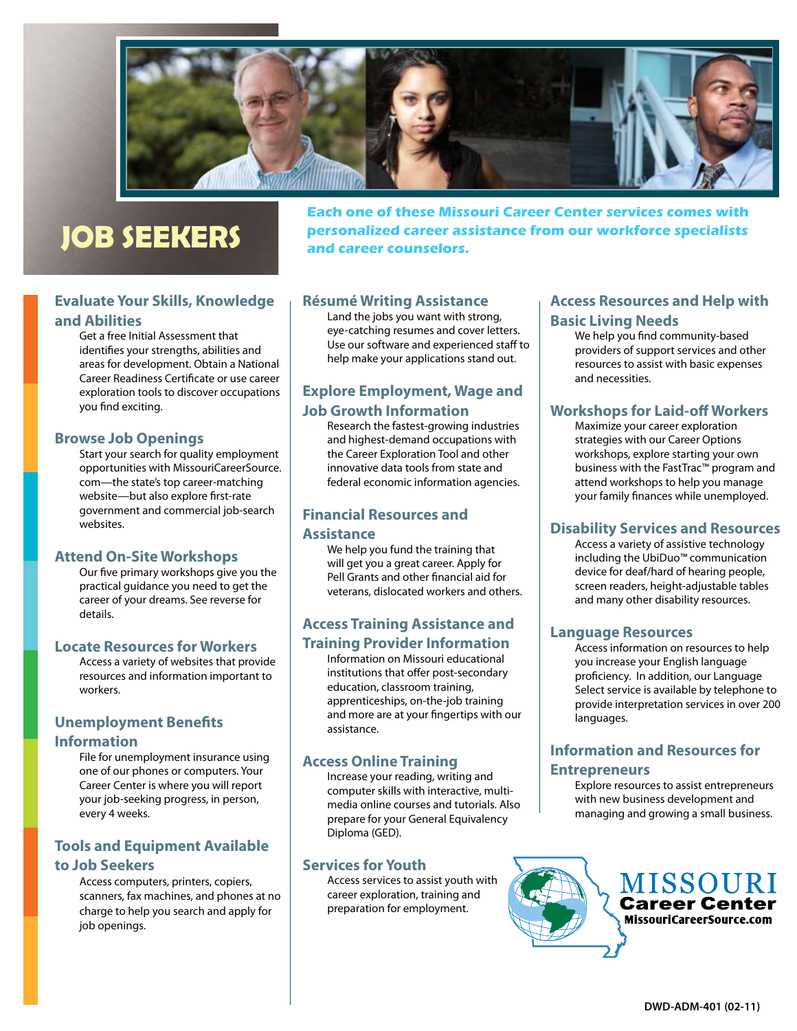

# **JOB SEEKERS**

**Each one of these Missouri Career Center services comes with personalized career assistance from our workforce specialists and career counselors.**

## **Evaluate Your Skills, Knowledge and Abilities**

Get a free Initial Assessment that identifies your strengths, abilities and areas for development. Obtain a National Career Readiness Certificate or use career exploration tools to discover occupations you find exciting.

#### **Browse Job Openings**

Start your search for quality employment opportunities with MissouriCareerSource. com—the state's top career-matching website—but also explore first-rate government and commercial job-search websites.

#### **Attend On-Site Workshops**

Our five primary workshops give you the practical guidance you need to get the career of your dreams. See reverse for details.

#### **Locate Resources for Workers**

Access a variety of websites that provide resources and information important to workers.

## **Unemployment Benefits Information**

File for unemployment insurance using one of our phones or computers. Your Career Center is where you will report your job-seeking progress, in person, every 4 weeks.

## **Tools and Equipment Available to Job Seekers**

Access computers, printers, copiers, scanners, fax machines, and phones at no charge to help you search and apply for job openings.

### **Résumé Writing Assistance**

Land the jobs you want with strong, eye-catching resumes and cover letters. Use our software and experienced staff to help make your applications stand out.

# **Explore Employment, Wage and Job Growth Information**

Research the fastest-growing industries and highest-demand occupations with the Career Exploration Tool and other innovative data tools from state and federal economic information agencies.

# **Financial Resources and**

#### **Assistance**

We help you fund the training that will get you a great career. Apply for Pell Grants and other financial aid for veterans, dislocated workers and others.

## **Access Training Assistance and Training Provider Information**

Information on Missouri educational institutions that offer post-secondary education, classroom training, apprenticeships, on-the-job training and more are at your fingertips with our assistance.

## **Access Online Training**

Increase your reading, writing and computer skills with interactive, multimedia online courses and tutorials. Also prepare for your General Equivalency Diploma (GED).

### **Services for Youth**

Access services to assist youth with career exploration, training and preparation for employment.

## **Access Resources and Help with Basic Living Needs**

We help you find community-based providers of support services and other resources to assist with basic expenses and necessities.

### **Workshops for Laid-off Workers**

Maximize your career exploration strategies with our Career Options workshops, explore starting your own business with the FastTrac™ program and attend workshops to help you manage your family finances while unemployed.

## **Disability Services and Resources**

Access a variety of assistive technology including the UbiDuo™ communication device for deaf/hard of hearing people, screen readers, height-adjustable tables and many other disability resources.

### **Language Resources**

Access information on resources to help you increase your English language proficiency. In addition, our Language Select service is available by telephone to provide interpretation services in over 200 languages.

## **Information and Resources for Entrepreneurs**

Explore resources to assist entrepreneurs with new business development and managing and growing a small business.